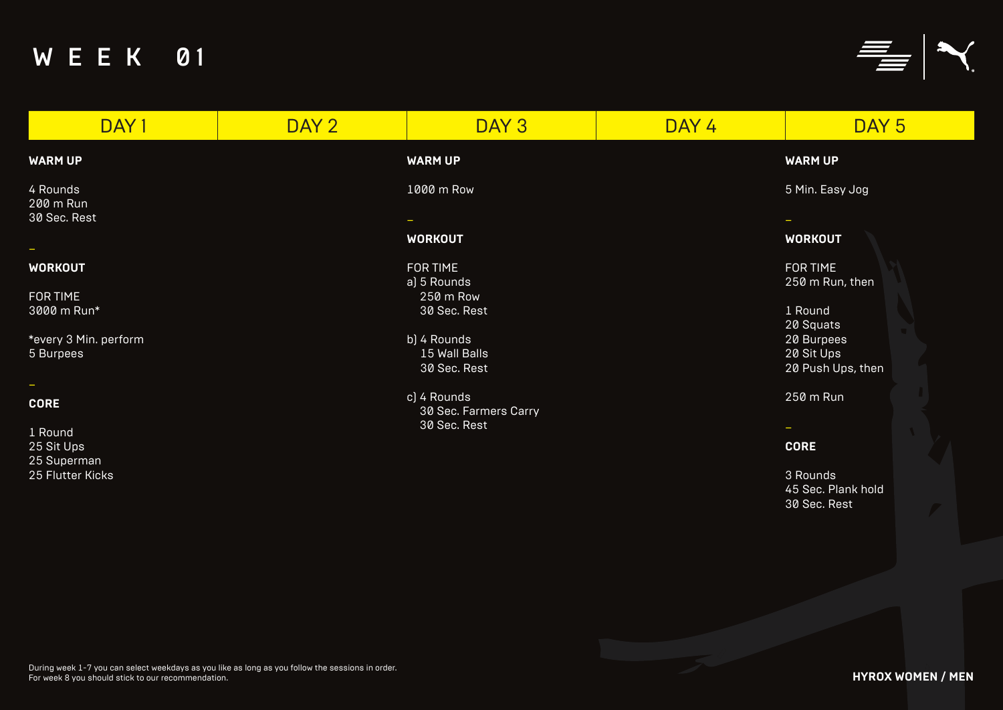### **WARM UP**

### **WORKOUT**

| DAY 2 | DAY <sub>3</sub> | DAY 4                                                                                                                                                                                                              | DAY <sub>5</sub>                       |
|-------|------------------|--------------------------------------------------------------------------------------------------------------------------------------------------------------------------------------------------------------------|----------------------------------------|
|       |                  |                                                                                                                                                                                                                    | <b>WARM UP</b>                         |
|       |                  |                                                                                                                                                                                                                    | 5 Min. Easy Jog                        |
|       |                  |                                                                                                                                                                                                                    |                                        |
|       |                  |                                                                                                                                                                                                                    | <b>WORKOUT</b>                         |
|       |                  |                                                                                                                                                                                                                    | <b>FOR TIME</b>                        |
|       |                  |                                                                                                                                                                                                                    | 250 m Run, then                        |
|       | 250 m Row        |                                                                                                                                                                                                                    |                                        |
|       |                  |                                                                                                                                                                                                                    | 1 Round                                |
|       |                  |                                                                                                                                                                                                                    | 20 Squats                              |
|       |                  |                                                                                                                                                                                                                    | 20 Burpees                             |
|       |                  |                                                                                                                                                                                                                    | 20 Sit Ups                             |
|       |                  |                                                                                                                                                                                                                    | 20 Push Ups, then                      |
|       |                  |                                                                                                                                                                                                                    | 250 m Run                              |
|       |                  |                                                                                                                                                                                                                    |                                        |
|       |                  |                                                                                                                                                                                                                    | $\overline{\phantom{m}}$               |
|       |                  |                                                                                                                                                                                                                    |                                        |
|       |                  |                                                                                                                                                                                                                    | <b>CORE</b>                            |
|       |                  |                                                                                                                                                                                                                    |                                        |
|       |                  |                                                                                                                                                                                                                    | 3 Rounds<br><b>A.5 Soc. Diank hold</b> |
|       |                  | <b>WARM UP</b><br>1000 m Row<br>$\sim$<br><b>WORKOUT</b><br><b>FOR TIME</b><br>a) 5 Rounds<br>30 Sec. Rest<br>b) 4 Rounds<br>15 Wall Balls<br>30 Sec. Rest<br>c) 4 Rounds<br>30 Sec. Farmers Carry<br>30 Sec. Rest |                                        |

### **CORE**

3 Rounds 45 Sec. Plank hold 30 Sec. Rest

**HYROX WOMEN / MEN**

# W E E K 01



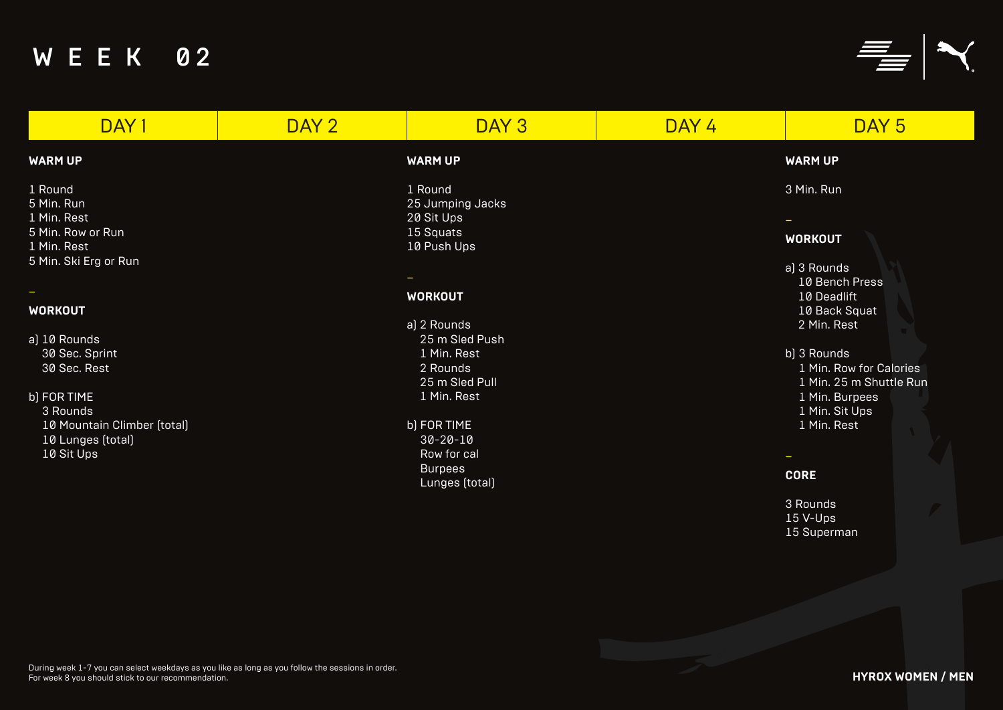# W E E K 02

#### **WARM UP**

1 Round 5 Min. Run 1 Min. Rest 5 Min. Row or Run 1 Min. Rest 5 Min. Ski Erg or Run

### –

### **WORKOUT**

a) 10 Rounds 30 Sec. Sprint 30 Sec. Rest

### b) FOR TIME

3 Rounds 10 Mountain Climber (total) 10 Lunges (total) 10 Sit Ups

### **WARM UP**

3 Min. Run

–

### **WORKOUT**

a) 3 Rounds 10 Bench Press 10 Deadlift 10 Back Squat 2 Min. Rest

- b) 3 Rounds 1 Min. Row for Calories 1 Min. 25 m Shuttle Run 1 Min. Burpees 1 Min. Sit Ups
	- 1 Min. Rest

–

### **CORE**

3 Rounds 15 V-Ups 15 Superman

#### **WARM UP**

1 Round 25 Jumping Jacks 20 Sit Ups 15 Squats 10 Push Ups

### –

### **WORKOUT**

- a) 2 Rounds 25 m Sled Push 1 Min. Rest 2 Rounds 25 m Sled Pull 1 Min. Rest
- b) FOR TIME 30-20-10 Row for cal Burpees Lunges (total)





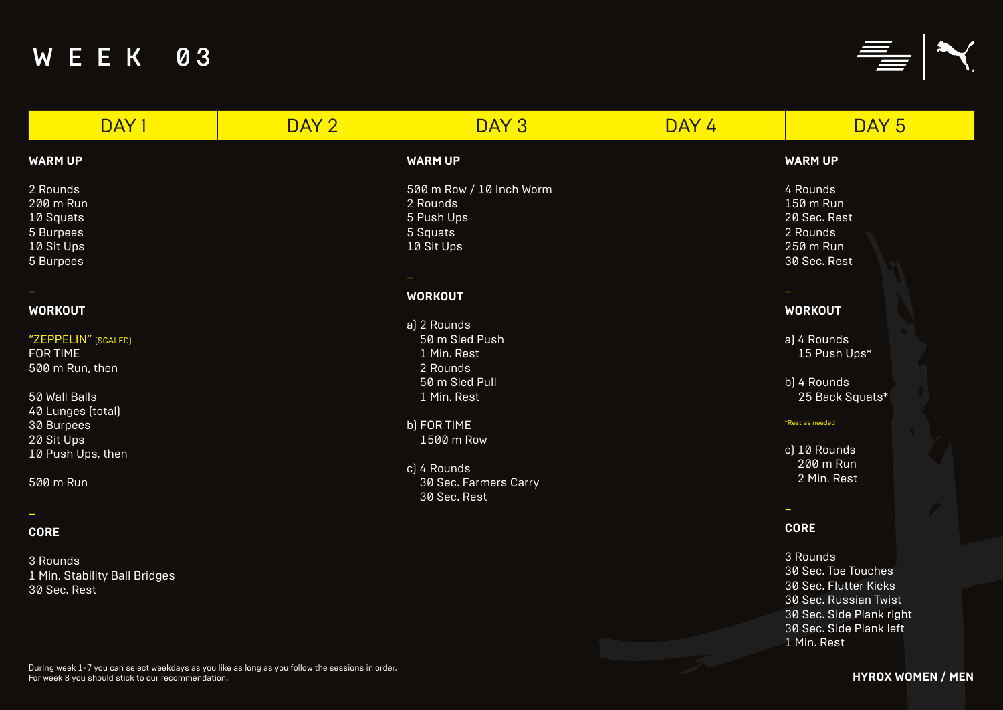30 Sec. Rest





### **WARM UP**

### **WORKOUT**

- a) 4 Rounds 15 Push Ups\*
- b) 4 Rounds 25 Back Squats\*

#### \*Rest as needed

| DAY 1                         | DAY 2 | DAY 3                    | DAY 4 | DAY <sub>5</sub>    |
|-------------------------------|-------|--------------------------|-------|---------------------|
| <b>WARM UP</b>                |       | <b>WARM UP</b>           |       | <b>WARM UP</b>      |
| 2 Rounds                      |       | 500 m Row / 10 Inch Worm |       | 4 Rounds            |
| 200 m Run                     |       | 2 Rounds                 |       | 150 m Run           |
| 10 Squats                     |       | 5 Push Ups               |       | 20 Sec. Rest        |
| 5 Burpees                     |       | 5 Squats                 |       | 2 Rounds            |
| 10 Sit Ups                    |       | 10 Sit Ups               |       | 250 m Run           |
| 5 Burpees                     |       |                          |       | 30 Sec. Rest        |
|                               |       |                          |       |                     |
| $\overline{\phantom{a}}$      |       | <b>WORKOUT</b>           |       |                     |
| <b>WORKOUT</b>                |       |                          |       | <b>WORKOUT</b>      |
|                               |       | a) 2 Rounds              |       |                     |
| "ZEPPELIN" (SCALED)           |       | 50 m Sled Push           |       | a) 4 Rounds         |
| <b>FOR TIME</b>               |       | 1 Min. Rest              |       | 15 Push Ups*        |
| 500 m Run, then               |       | 2 Rounds                 |       |                     |
|                               |       | 50 m Sled Pull           |       | b) 4 Rounds         |
| 50 Wall Balls                 |       | 1 Min. Rest              |       | 25 Back Squats*     |
| 40 Lunges (total)             |       |                          |       |                     |
| 30 Burpees                    |       | b) FOR TIME              |       | *Rest as needed     |
| 20 Sit Ups                    |       | 1500 m Row               |       |                     |
| 10 Push Ups, then             |       |                          |       | c) 10 Rounds        |
|                               |       | c) 4 Rounds              |       | 200 m Run           |
| 500 m Run                     |       | 30 Sec. Farmers Carry    |       | 2 Min. Rest         |
|                               |       | 30 Sec. Rest             |       |                     |
| $\overline{\phantom{m}}$      |       |                          |       |                     |
| <b>CORE</b>                   |       |                          |       | <b>CORE</b>         |
| 3 Rounds                      |       |                          |       | 3 Rounds            |
| 1 Min. Stability Ball Bridges |       |                          |       | 30 Sec. Toe Touches |
|                               |       |                          |       |                     |

### –

### **CORE**

3 Rounds 30 Sec. Toe Touches 30 Sec. Flutter Kicks 30 Sec. Russian Twist 30 Sec. Side Plank right 30 Sec. Side Plank left 1 Min. Rest

### **HYROX WOMEN / MEN**

# W E E K 03

During week 1-7 you can select weekdays as you like as long as you follow the sessions in order. For week 8 you should stick to our recommendation.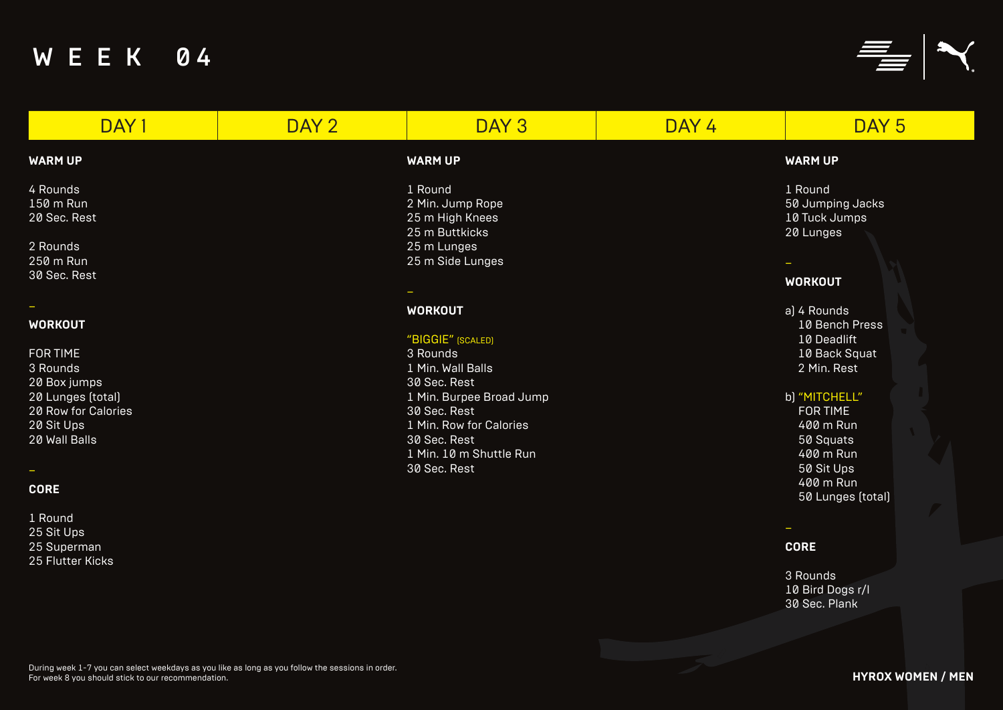25 Sit Ups 25 Superman 25 Flutter Kicks

### **WARM UP**

### **WORKOUT**

### b) "MITCHELL"

# W E E K 04

| DAY <sub>1</sub>                                                       | DAY 2 | DAY 3                                                                                               | DAY 4 | DAY <sub>5</sub>                                          |
|------------------------------------------------------------------------|-------|-----------------------------------------------------------------------------------------------------|-------|-----------------------------------------------------------|
| <b>WARM UP</b>                                                         |       | <b>WARM UP</b>                                                                                      |       | <b>WARM UP</b>                                            |
| 4 Rounds<br>150 m Run<br>20 Sec. Rest<br>2 Rounds<br>250 m Run         |       | 1 Round<br>2 Min. Jump Rope<br>25 m High Knees<br>25 m Buttkicks<br>25 m Lunges<br>25 m Side Lunges |       | 1 Round<br>50 Jumping Jacks<br>10 Tuck Jumps<br>20 Lunges |
| 30 Sec. Rest                                                           |       |                                                                                                     |       | <b>WORKOUT</b>                                            |
| <b>WORKOUT</b>                                                         |       | <b>WORKOUT</b><br>"BIGGIE" [SCALED]                                                                 |       | a) 4 Rounds<br>10 Bench Press<br>10 Deadlift              |
| <b>FOR TIME</b><br>3 Rounds                                            |       | 3 Rounds<br>1 Min. Wall Balls                                                                       |       | 10 Back Squat<br>2 Min. Rest                              |
| 20 Box jumps<br>20 Lunges (total)<br>20 Row for Calories<br>20 Sit Ups |       | 30 Sec. Rest<br>1 Min. Burpee Broad Jump<br>30 Sec. Rest<br>1 Min. Row for Calories                 |       | b) "MITCHELL"<br><b>FOR TIME</b><br>400 m Run             |
| 20 Wall Balls<br>$\sim$                                                |       | 30 Sec. Rest<br>1 Min. 10 m Shuttle Run<br>30 Sec. Rest                                             |       | 50 Squats<br>400 m Run<br>50 Sit Ups<br>400 m Run         |
| <b>CORE</b><br>1 Round                                                 |       |                                                                                                     |       | 50 Lunges (total)                                         |

–

### **CORE**

3 Rounds 10 Bird Dogs r/l 30 Sec. Plank



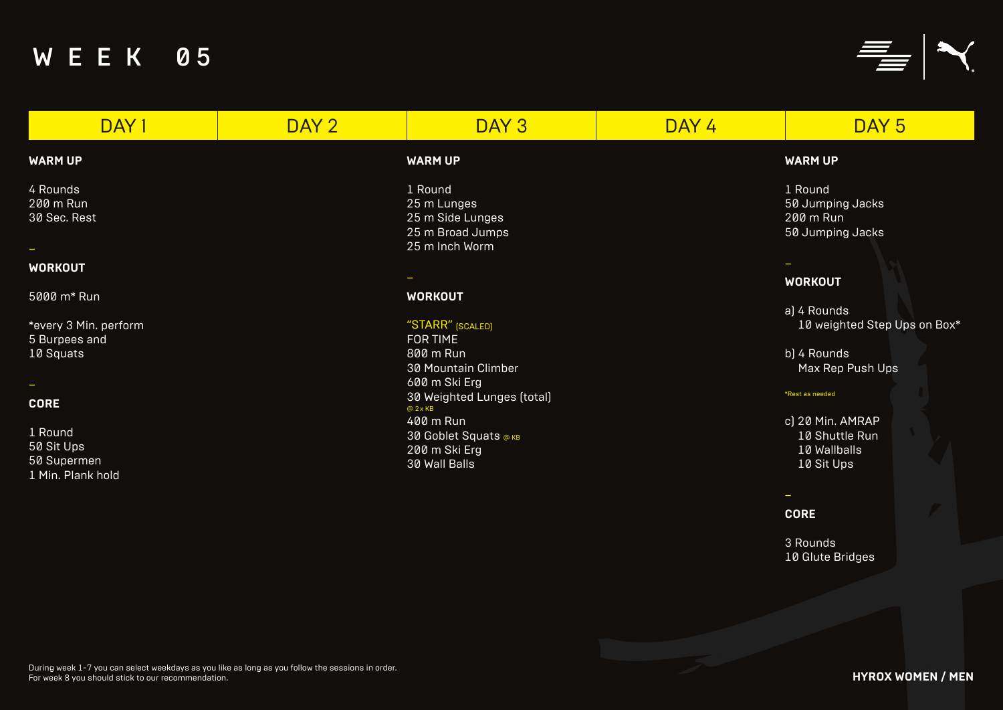### **WARM UP**

### **WORKOUT**

- a) 4 Rounds 10 weighted Step Ups on Box\*
- b) 4 Rounds Max Rep Push Ups

| DAY <sub>1</sub>      | DAY <sub>2</sub> | DAY <sub>3</sub>           | DAY 4 | DAY <sub>5</sub>    |
|-----------------------|------------------|----------------------------|-------|---------------------|
| <b>WARM UP</b>        |                  | <b>WARM UP</b>             |       | <b>WARM UP</b>      |
| 4 Rounds              |                  | 1 Round                    |       | 1 Round             |
| 200 m Run             |                  | 25 m Lunges                |       | 50 Jumping Jacks    |
| 30 Sec. Rest          |                  | 25 m Side Lunges           |       | 200 m Run           |
|                       |                  | 25 m Broad Jumps           |       | 50 Jumping Jacks    |
|                       |                  | 25 m Inch Worm             |       |                     |
| <b>WORKOUT</b>        |                  |                            |       |                     |
|                       |                  |                            |       | <b>WORKOUT</b>      |
| 5000 m* Run           |                  | <b>WORKOUT</b>             |       |                     |
|                       |                  |                            |       | a) 4 Rounds         |
| *every 3 Min. perform |                  | "STARR" [SCALED]           |       | 10 weighted Step Up |
| 5 Burpees and         |                  | <b>FOR TIME</b>            |       |                     |
| 10 Squats             |                  | 800 m Run                  |       | b) 4 Rounds         |
|                       |                  | <b>30 Mountain Climber</b> |       | Max Rep Push Ups    |
| -                     |                  | 600 m Ski Erg              |       |                     |
|                       |                  | 30 Weighted Lunges (total) |       | *Rest as needed     |
| <b>CORE</b>           |                  | @2xKB                      |       |                     |
|                       |                  | 400 m Run                  |       | c) 20 Min. AMRAP    |
| 1 Round               |                  | 30 Goblet Squats ® кв      |       | 10 Shuttle Run      |
| 50 Sit Ups            |                  | 200 m Ski Erg              |       | 10 Wallballs        |
| 50 Supermen           |                  | 30 Wall Balls              |       | 10 Sit Ups          |
| 1 Min. Plank hold     |                  |                            |       |                     |
|                       |                  |                            |       |                     |
|                       |                  |                            |       | <b>CODE</b>         |

### **CORE**

3 Rounds 10 Glute Bridges

**HYROX WOMEN / MEN**

# W E E K 05



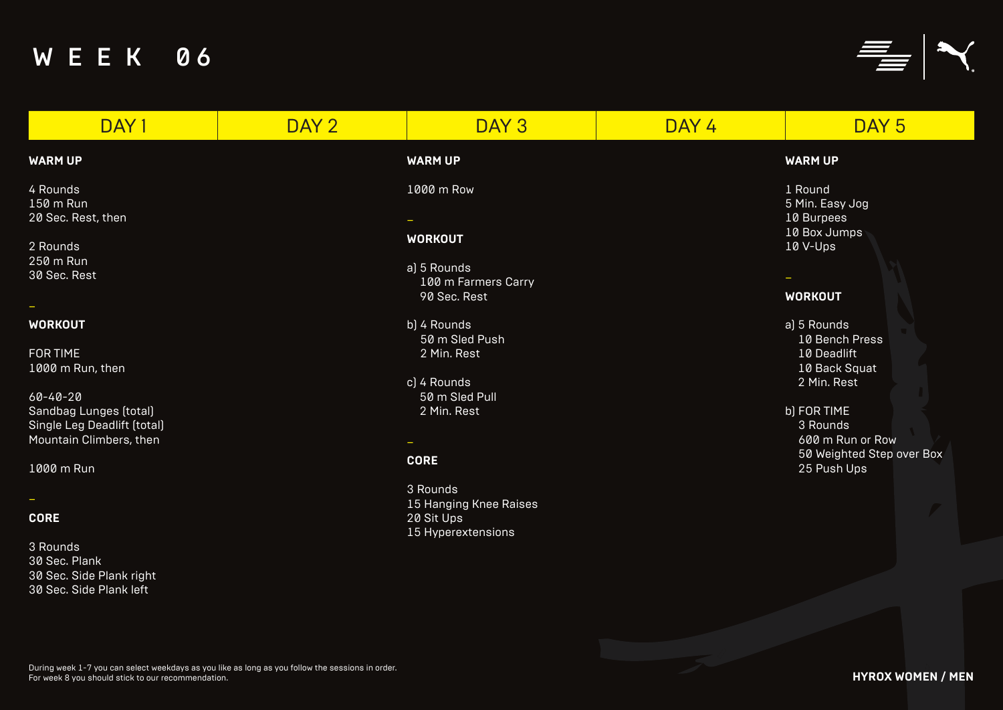### **WARM UP**

### **WORKOUT**

# W E E K 06

| DAY <sub>1</sub>                                                                                                                                            | DAY 2 | DAY 3                                                                                                       | DAY 4 | DAY <sub>5</sub>                                                                                                                                   |
|-------------------------------------------------------------------------------------------------------------------------------------------------------------|-------|-------------------------------------------------------------------------------------------------------------|-------|----------------------------------------------------------------------------------------------------------------------------------------------------|
| <b>WARM UP</b>                                                                                                                                              |       | <b>WARM UP</b>                                                                                              |       | <b>WARM UP</b>                                                                                                                                     |
| 4 Rounds<br>150 m Run<br>20 Sec. Rest, then<br>2 Rounds<br>250 m Run<br>30 Sec. Rest<br>$\overline{\phantom{a}}$                                            |       | 1000 m Row<br><b>WORKOUT</b><br>a) 5 Rounds<br>100 m Farmers Carry<br>90 Sec. Rest                          |       | 1 Round<br>5 Min. Easy Jog<br>10 Burpees<br>10 Box Jumps<br>10 V-Ups<br><b>WORKOUT</b>                                                             |
| <b>WORKOUT</b><br><b>FOR TIME</b><br>1000 m Run, then<br>$60 - 40 - 20$<br>Sandbag Lunges (total)<br>Single Leg Deadlift (total)<br>Mountain Climbers, then |       | b) 4 Rounds<br>50 m Sled Push<br>2 Min. Rest<br>c) 4 Rounds<br>50 m Sled Pull<br>2 Min. Rest<br><b>CORE</b> |       | a) 5 Rounds<br>10 Bench Press<br>10 Deadlift<br>10 Back Squat<br>2 Min. Rest<br>b) FOR TIME<br>3 Rounds<br>600 m Run or Row<br>50 Weighted Step ov |
| 1000 m Run<br><b>CORE</b><br>3 Rounds<br>30 Sec. Plank<br>30 Sec. Side Plank right<br>30 Sec. Side Plank left                                               |       | 3 Rounds<br>15 Hanging Knee Raises<br>20 Sit Ups<br>15 Hyperextensions                                      |       | 25 Push Ups                                                                                                                                        |

### b) FOR TIME

600 m Run or Row 50 Weighted Step over Box 25 Push Ups



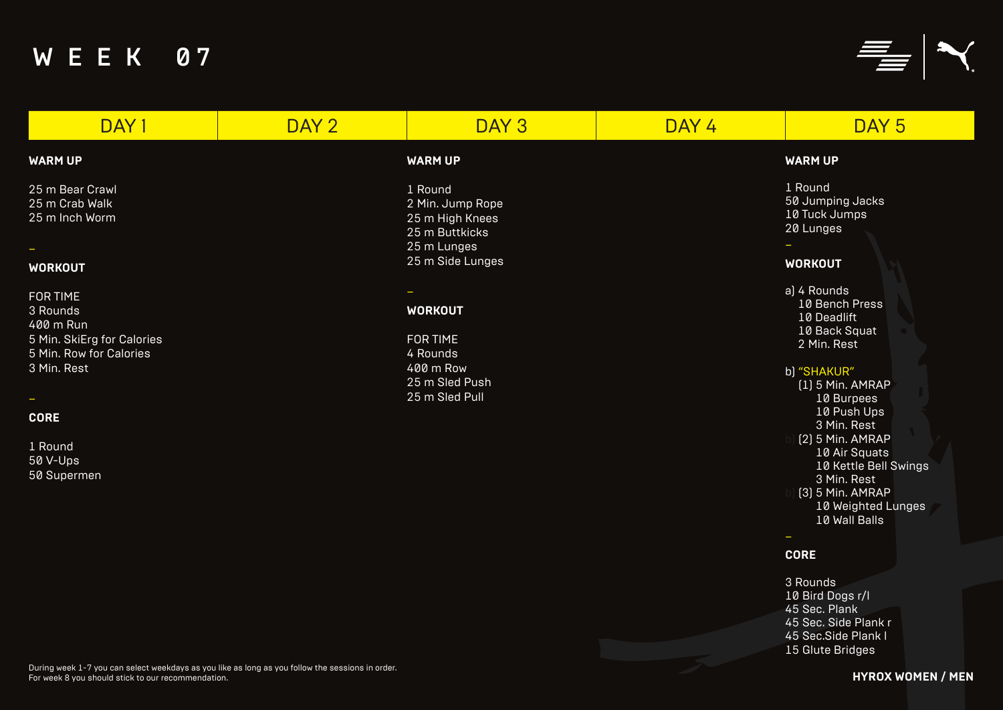### **WARM UP**

### **WORKOUT**

### b) "SHAKUR"

# W E E K 07

| DAY <sub>1</sub>                                                                                                                | DAY 2 | DAY <sub>3</sub>                                                                                    | DAY 4 | DAY <sub>5</sub>                                                                                                                                                                    |
|---------------------------------------------------------------------------------------------------------------------------------|-------|-----------------------------------------------------------------------------------------------------|-------|-------------------------------------------------------------------------------------------------------------------------------------------------------------------------------------|
| <b>WARM UP</b>                                                                                                                  |       | <b>WARM UP</b>                                                                                      |       | <b>WARM UP</b>                                                                                                                                                                      |
| 25 m Bear Crawl<br>25 m Crab Walk<br>25 m Inch Worm<br><b>WORKOUT</b>                                                           |       | 1 Round<br>2 Min. Jump Rope<br>25 m High Knees<br>25 m Buttkicks<br>25 m Lunges<br>25 m Side Lunges |       | 1 Round<br>50 Jumping Jacks<br>10 Tuck Jumps<br>20 Lunges<br><b>WORKOUT</b>                                                                                                         |
| <b>FOR TIME</b><br>3 Rounds<br>400 m Run<br>5 Min. SkiErg for Calories<br>5 Min. Row for Calories<br>3 Min. Rest<br><b>CORE</b> |       | <b>WORKOUT</b><br><b>FOR TIME</b><br>4 Rounds<br>400 m Row<br>25 m Sled Push<br>25 m Sled Pull      |       | a) 4 Rounds<br>10 Bench Press<br>10 Deadlift<br>10 Back Squat<br>2 Min. Rest<br>b) "SHAKUR"<br>$(1)$ 5 Min. AMRAP<br>10 Burpees<br>10 Push Ups<br>3 Min. Rest<br>$[2]$ 5 Min. AMRAP |
| 1 Round<br>50 V-Ups<br>50 Supermen                                                                                              |       |                                                                                                     |       | 10 Air Squats<br>10 Kettle Bell Sw<br>3 Min. Rest<br>$[3]$ 5 Min. AMRAP<br>10 Weighted Lun<br>$10$ $M$ oll Rollo                                                                    |

(1) 5 Min. AMRAP 10 Burpees 10 Push Ups 3 Min. Rest  $|$  (2) 5 Min. AMRAP 10 Air Squats 10 Kettle Bell Swings 3 Min. Rest b) (3) 5 Min. AMRAP

10 Weighted Lunges 10 Wall Balls

### **CORE**

```
3 Rounds 
10 Bird Dogs r/l
45 Sec. Plank
45 Sec. Side Plank r
45 Sec.Side Plank l
15 Glute Bridges
```